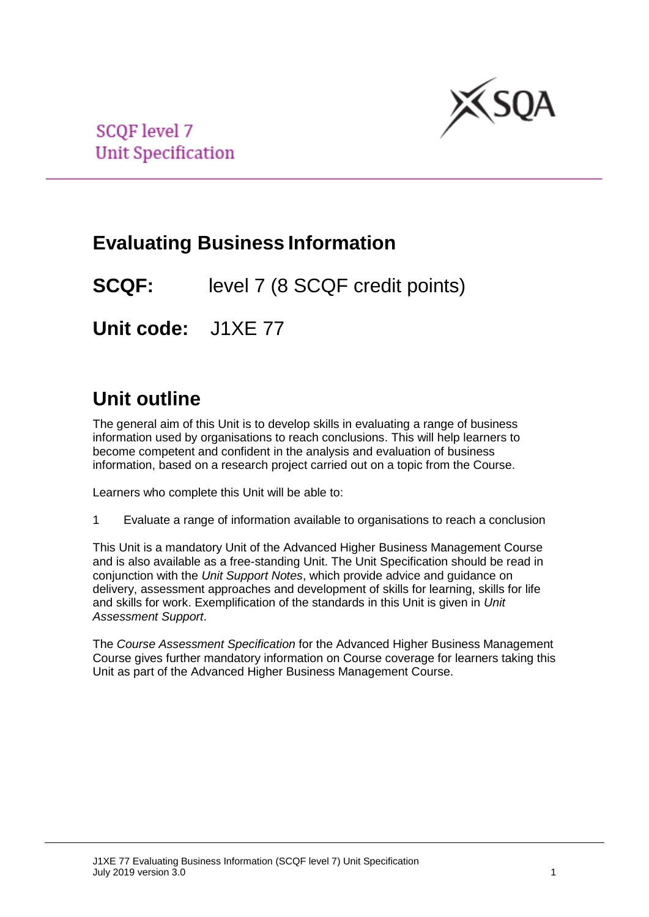

**SCOF level 7 Unit Specification** 

# **Evaluating Business Information**

**SCQF:** level 7 (8 SCQF credit points)

**Unit code:** J1XE 77

# **Unit outline**

The general aim of this Unit is to develop skills in evaluating a range of business information used by organisations to reach conclusions. This will help learners to become competent and confident in the analysis and evaluation of business information, based on a research project carried out on a topic from the Course.

Learners who complete this Unit will be able to:

1 Evaluate a range of information available to organisations to reach a conclusion

This Unit is a mandatory Unit of the Advanced Higher Business Management Course and is also available as a free-standing Unit. The Unit Specification should be read in conjunction with the *Unit Support Notes*, which provide advice and guidance on delivery, assessment approaches and development of skills for learning, skills for life and skills for work. Exemplification of the standards in this Unit is given in *Unit Assessment Support*.

The *Course Assessment Specification* for the Advanced Higher Business Management Course gives further mandatory information on Course coverage for learners taking this Unit as part of the Advanced Higher Business Management Course.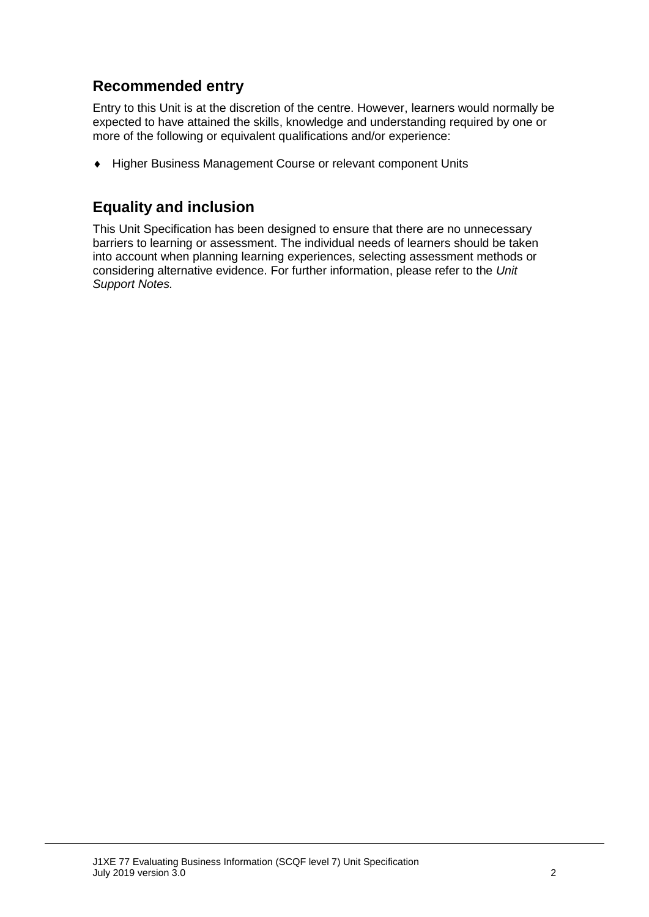## **Recommended entry**

Entry to this Unit is at the discretion of the centre. However, learners would normally be expected to have attained the skills, knowledge and understanding required by one or more of the following or equivalent qualifications and/or experience:

Higher Business Management Course or relevant component Units

### **Equality and inclusion**

This Unit Specification has been designed to ensure that there are no unnecessary barriers to learning or assessment. The individual needs of learners should be taken into account when planning learning experiences, selecting assessment methods or considering alternative evidence. For further information, please refer to the *Unit Support Notes.*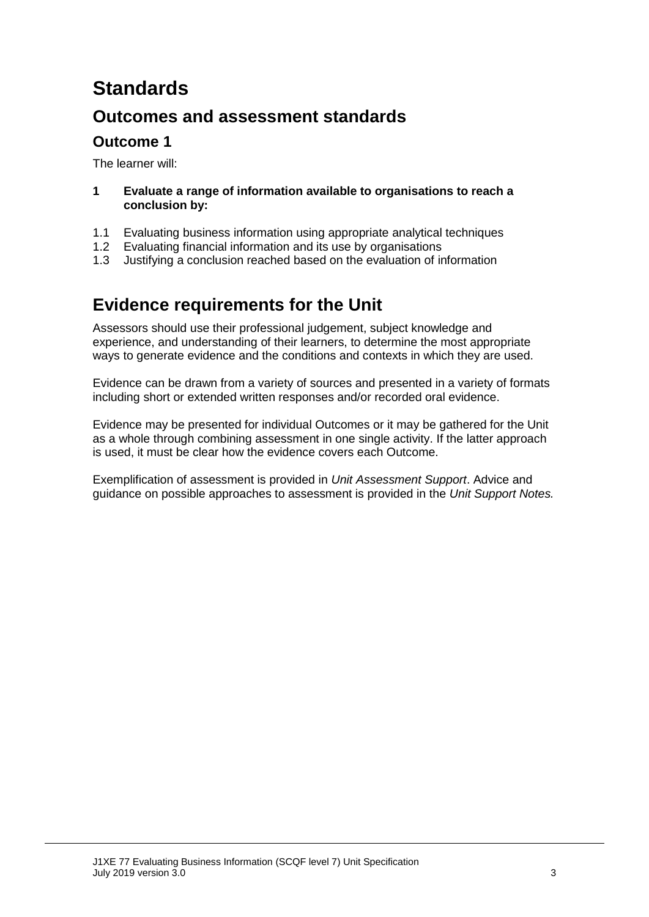# **Standards**

## **Outcomes and assessment standards**

### **Outcome 1**

The learner will:

- **1 Evaluate a range of information available to organisations to reach a conclusion by:**
- 1.1 Evaluating business information using appropriate analytical techniques
- 1.2 Evaluating financial information and its use by organisations
- 1.3 Justifying a conclusion reached based on the evaluation of information

## **Evidence requirements for the Unit**

Assessors should use their professional judgement, subject knowledge and experience, and understanding of their learners, to determine the most appropriate ways to generate evidence and the conditions and contexts in which they are used.

Evidence can be drawn from a variety of sources and presented in a variety of formats including short or extended written responses and/or recorded oral evidence.

Evidence may be presented for individual Outcomes or it may be gathered for the Unit as a whole through combining assessment in one single activity. If the latter approach is used, it must be clear how the evidence covers each Outcome.

Exemplification of assessment is provided in *Unit Assessment Support*. Advice and guidance on possible approaches to assessment is provided in the *Unit Support Notes.*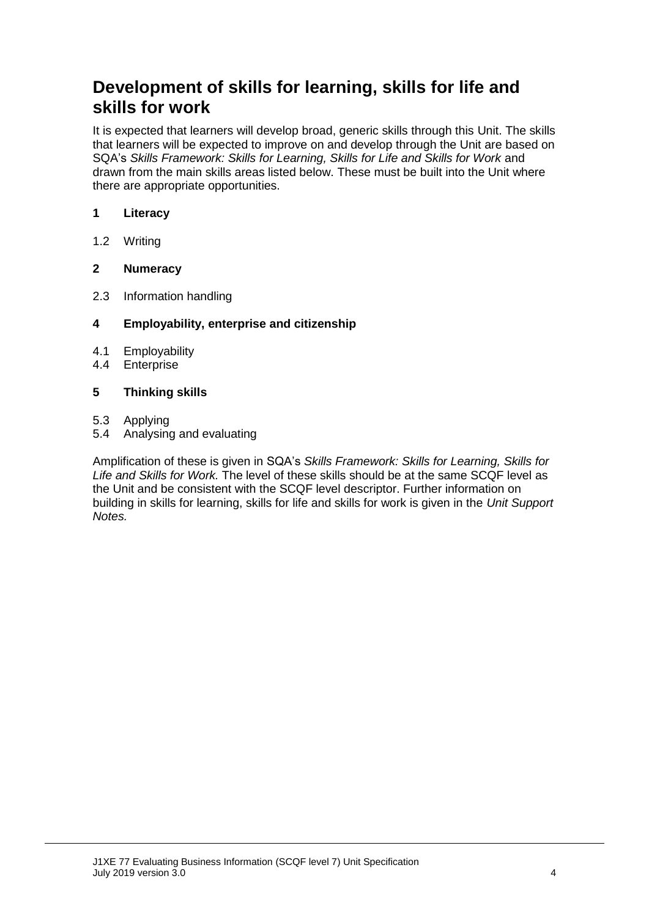## **Development of skills for learning, skills for life and skills for work**

It is expected that learners will develop broad, generic skills through this Unit. The skills that learners will be expected to improve on and develop through the Unit are based on SQA's *Skills Framework: Skills for Learning, Skills for Life and Skills for Work* and drawn from the main skills areas listed below. These must be built into the Unit where there are appropriate opportunities.

#### **1 Literacy**

1.2 Writing

### **2 Numeracy**

2.3 Information handling

#### **4 Employability, enterprise and citizenship**

- 4.1 Employability
- 4.4 Enterprise

#### **5 Thinking skills**

- 5.3 Applying
- 5.4 Analysing and evaluating

Amplification of these is given in SQA's *Skills Framework: Skills for Learning, Skills for Life and Skills for Work.* The level of these skills should be at the same SCQF level as the Unit and be consistent with the SCQF level descriptor. Further information on building in skills for learning, skills for life and skills for work is given in the *Unit Support Notes.*